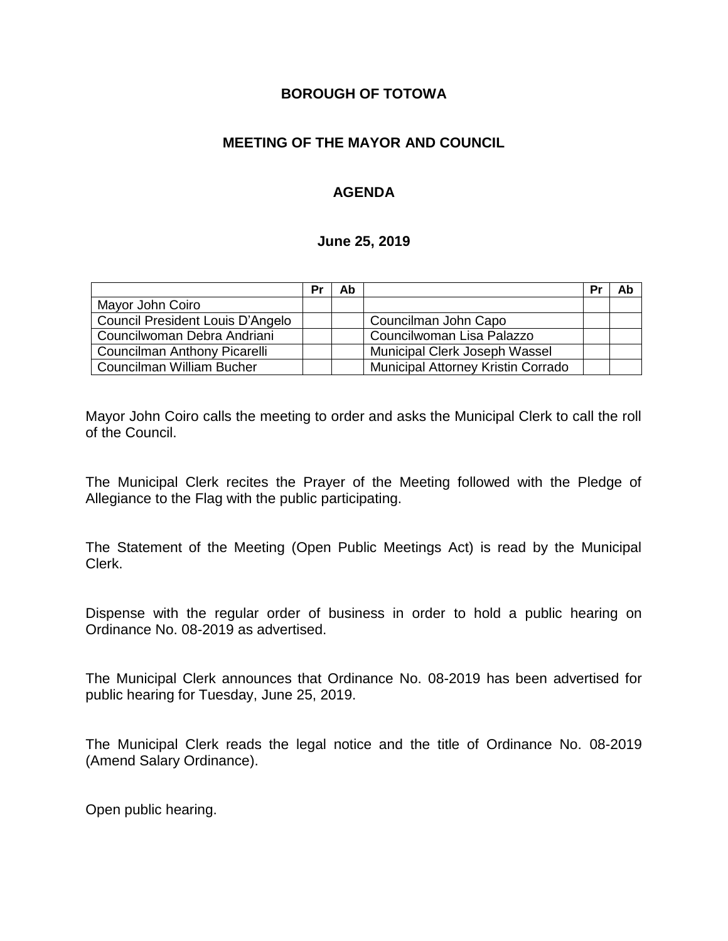### **BOROUGH OF TOTOWA**

## **MEETING OF THE MAYOR AND COUNCIL**

## **AGENDA**

#### **June 25, 2019**

|                                  | Pr | Ab |                                    | Pr | Ab |
|----------------------------------|----|----|------------------------------------|----|----|
| Mayor John Coiro                 |    |    |                                    |    |    |
| Council President Louis D'Angelo |    |    | Councilman John Capo               |    |    |
| Councilwoman Debra Andriani      |    |    | Councilwoman Lisa Palazzo          |    |    |
| Councilman Anthony Picarelli     |    |    | Municipal Clerk Joseph Wassel      |    |    |
| Councilman William Bucher        |    |    | Municipal Attorney Kristin Corrado |    |    |

Mayor John Coiro calls the meeting to order and asks the Municipal Clerk to call the roll of the Council.

The Municipal Clerk recites the Prayer of the Meeting followed with the Pledge of Allegiance to the Flag with the public participating.

The Statement of the Meeting (Open Public Meetings Act) is read by the Municipal Clerk.

Dispense with the regular order of business in order to hold a public hearing on Ordinance No. 08-2019 as advertised.

The Municipal Clerk announces that Ordinance No. 08-2019 has been advertised for public hearing for Tuesday, June 25, 2019.

The Municipal Clerk reads the legal notice and the title of Ordinance No. 08-2019 (Amend Salary Ordinance).

Open public hearing.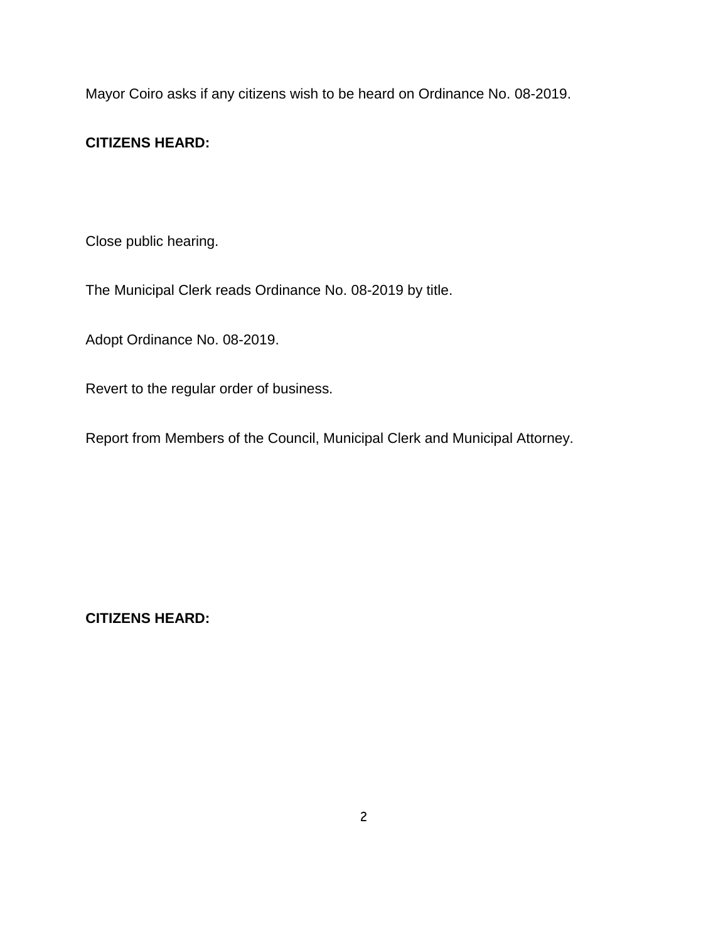Mayor Coiro asks if any citizens wish to be heard on Ordinance No. 08-2019.

## **CITIZENS HEARD:**

Close public hearing.

The Municipal Clerk reads Ordinance No. 08-2019 by title.

Adopt Ordinance No. 08-2019.

Revert to the regular order of business.

Report from Members of the Council, Municipal Clerk and Municipal Attorney.

**CITIZENS HEARD:**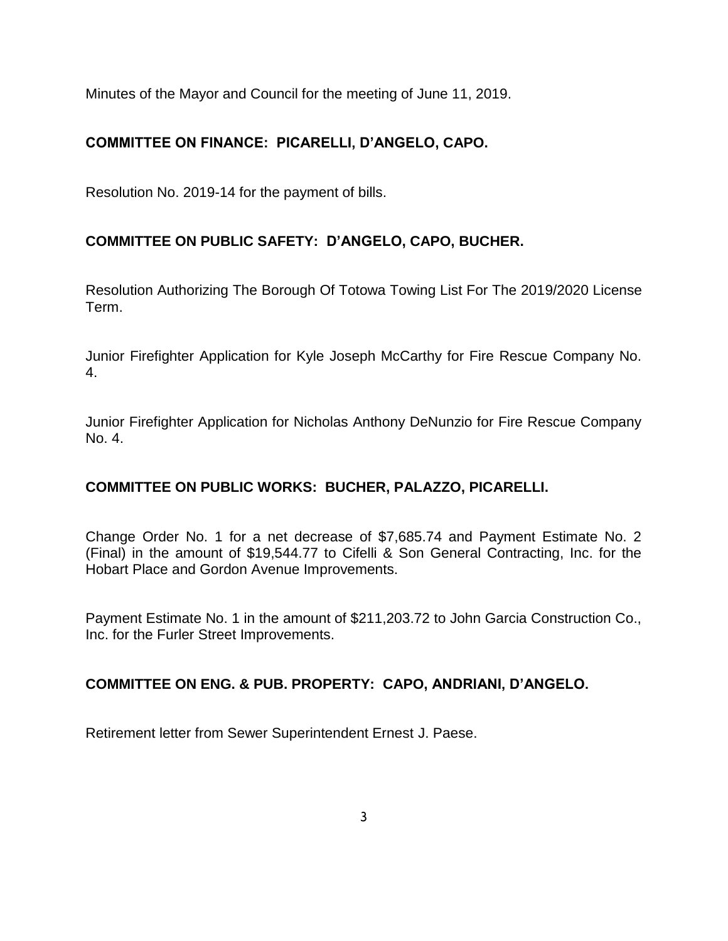Minutes of the Mayor and Council for the meeting of June 11, 2019.

# **COMMITTEE ON FINANCE: PICARELLI, D'ANGELO, CAPO.**

Resolution No. 2019-14 for the payment of bills.

# **COMMITTEE ON PUBLIC SAFETY: D'ANGELO, CAPO, BUCHER.**

Resolution Authorizing The Borough Of Totowa Towing List For The 2019/2020 License Term.

Junior Firefighter Application for Kyle Joseph McCarthy for Fire Rescue Company No. 4.

Junior Firefighter Application for Nicholas Anthony DeNunzio for Fire Rescue Company No. 4.

## **COMMITTEE ON PUBLIC WORKS: BUCHER, PALAZZO, PICARELLI.**

Change Order No. 1 for a net decrease of \$7,685.74 and Payment Estimate No. 2 (Final) in the amount of \$19,544.77 to Cifelli & Son General Contracting, Inc. for the Hobart Place and Gordon Avenue Improvements.

Payment Estimate No. 1 in the amount of \$211,203.72 to John Garcia Construction Co., Inc. for the Furler Street Improvements.

## **COMMITTEE ON ENG. & PUB. PROPERTY: CAPO, ANDRIANI, D'ANGELO.**

Retirement letter from Sewer Superintendent Ernest J. Paese.